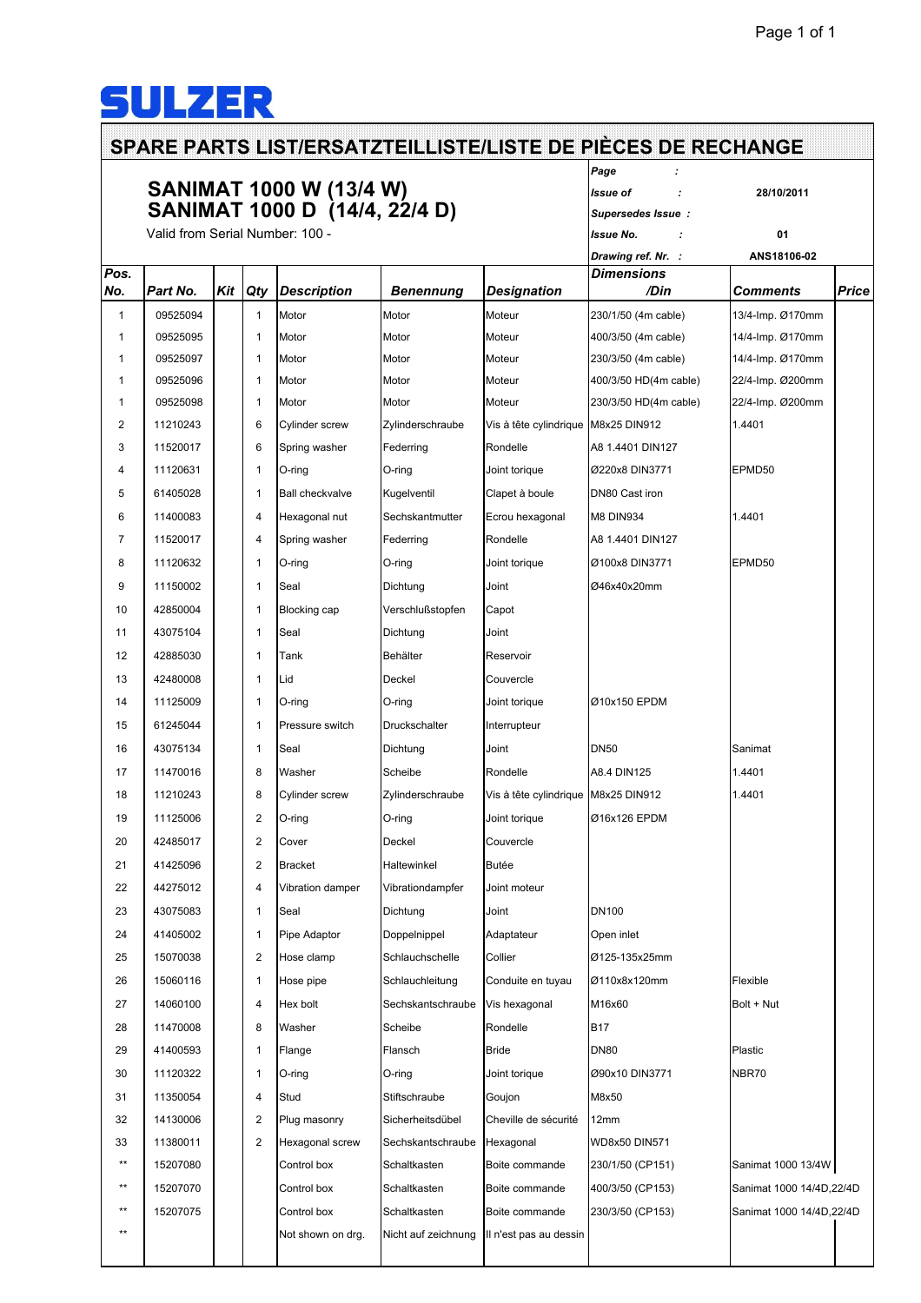## SULZER

## **SPARE PARTS LIST/ERSATZTEILLISTE/LISTE DE PIÈCES DE RECHANGE** *Page :* **SANIMAT 1000 W (13/4 W)** *Issue of :* **28/10/2011 SANIMAT 1000 D (14/4, 22/4 D)** *Supersedes Issue :* Valid from Serial Number: 100 - *Issue No. :* **01** *Drawing ref. Nr. :* **ANS18106-02** *Pos. Dimensions No. Part No. Kit Qty Description Benennung Designation /Din Comments Price* 1 09525094 1 Motor Motor Moteur 230/1/50 (4m cable) 13/4-Imp. Ø170mm 1 09525095 1 Motor Motor Moteur 400/3/50 (4m cable) 14/4-Imp. Ø170mm 1 09525097 1 Motor Motor Moteur 230/3/50 (4m cable) 14/4-Imp. Ø170mm 1 09525096 1 Motor Motor Moteur 400/3/50 HD(4m cable) 22/4-Imp. Ø200mm 1 09525098 1 Motor Motor Moteur 230/3/50 HD(4m cable) 22/4-Imp. Ø200mm 2 11210243 6 Cylinder screw Zylinder schraube Vis à tête cylindrique M8x25 DIN912 1.4401 3 11520017 6 Spring washer Federring Rondelle A8 1.4401 DIN127 4 11120631 1 O-ring O-ring Joint torique Ø220x8 DIN3771 EPMD50 5 61405028 1 Ball checkvalve Kugelventil Clapet à boule DN80 Cast iron 6 11400083 4 Hexagonal nut Sechskantmutter Ecrou hexagonal M8 DIN934 1.4401 7 11520017 4 Spring washer Federring Rondelle A8 1.4401 DIN127 8 11120632 1 O-ring O-ring Joint torique Ø100x8 DIN3771 EPMD50 9 11150002 1 Seal Dichtung Joint Ø46x40x20mm 10 42850004 1 Blocking cap Verschlußstopfen Capot 11 43075104 1 Seal Dichtung Joint 12 42885030 1 1 Tank Behälter Reservoir 13 42480008 1 1 Lid Deckel Couvercle 14 11125009 1 O-ring O-ring Joint torique Ø10x150 EPDM 15 61245044 1 Pressure switch Druckschalter Interrupteur 16 | 43075134 | | 1 | Seal | Dichtung | Joint | DN50 | DN50 | Sanimat 17 11470016 8 Washer Scheibe Rondelle A8.4 DIN125 1.4401 18 | 11210243 | 8 | Cylinder screw | Zylinderschraube | Vis à tête cylindrique | M8x25 DIN912 | 1.4401 19 11125006 2 O-ring O-ring Joint torique Ø16x126 EPDM 20 42485017 2 Cover Deckel Couvercle 21 41425096 2 Bracket Haltewinkel Butée 22 44275012 4 Vibration damper Vibrationdampfer Joint moteur 23 | 43075083 | | 1 | Seal | | Dichtung | | | Joint | | | | | | DN100 24 41405002 1 Pipe Adaptor Doppelnippel Adaptateur Open inlet 25 15070038 2 Hose clamp Schlauchschelle Collier Ø125-135x25mm 26 15060116 1 Hose pipe Schlauchleitung Conduite en tuyau Ø110x8x120mm Flexible 27 14060100 4 Hex bolt Sechskantschraube Vis hexagonal M16x60 Bolt + Nut 28 11470008 | 8 Washer Scheibe Rondelle B17 29 41400593 1 Flange Flansch Bride DN80 Plastic 30 11120322 1 O-ring O-ring Joint torique Ø90x10 DIN3771 NBR70 31 11350054 4 Stud Stiftschraube Goujon M8x50 32 14130006 2 Plug masonry Sicherheitsdübel Cheville de sécurité 12mm 33 11380011 2 Hexagonal screw Sechskantschraube Hexagonal WD8x50 DIN571 \*\* 15207080 Control box Schaltkasten Boite commande 230/1/50 (CP151) Sanimat 1000 13/4W \*\* 15207070 | Control box Schaltkasten Boite commande 400/3/50 (CP153) Sanimat 1000 14/4D,22/4D \*\* 15207075 Control box Schaltkasten Boite commande 230/3/50 (CP153) Sanimat 1000 14/4D,22/4D

\*\* Not shown on drg. Nicht auf zeichnung Ill n'est pas au dessin